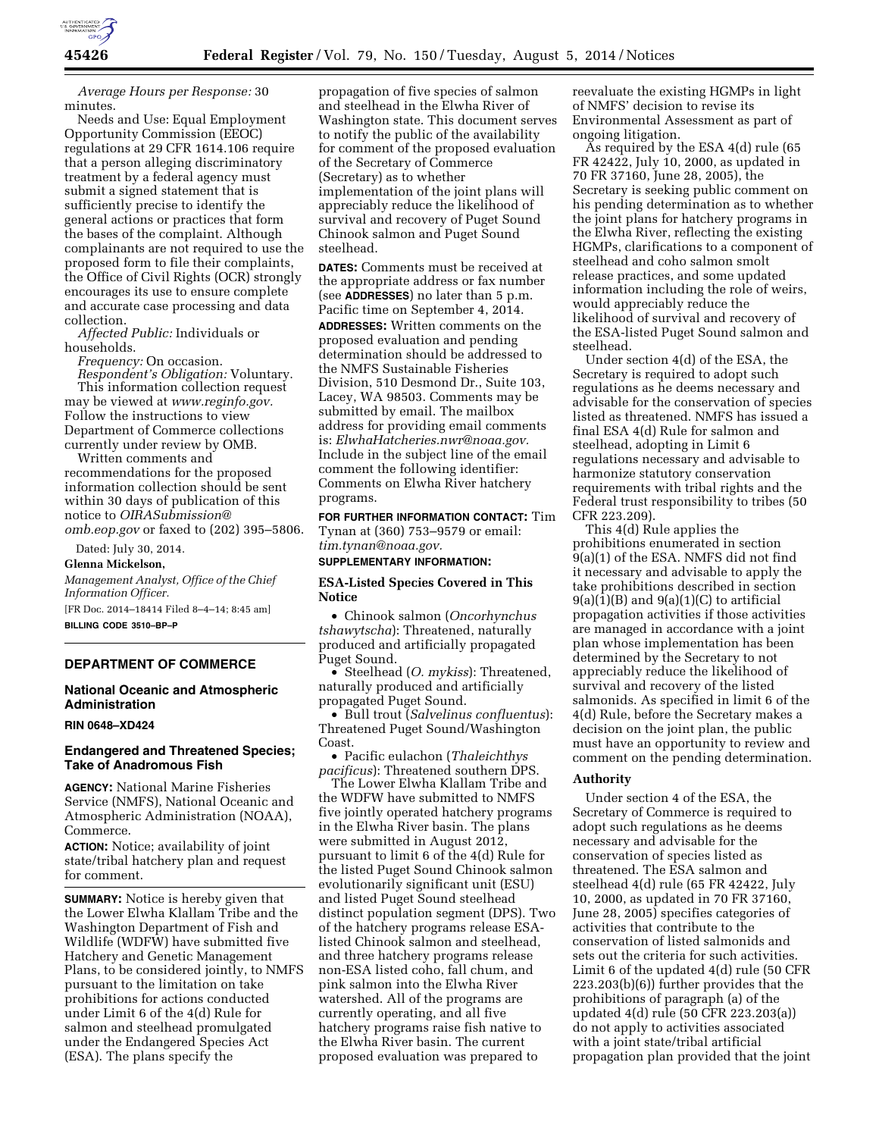

*Average Hours per Response:* 30 minutes.

Needs and Use: Equal Employment Opportunity Commission (EEOC) regulations at 29 CFR 1614.106 require that a person alleging discriminatory treatment by a federal agency must submit a signed statement that is sufficiently precise to identify the general actions or practices that form the bases of the complaint. Although complainants are not required to use the proposed form to file their complaints, the Office of Civil Rights (OCR) strongly encourages its use to ensure complete and accurate case processing and data collection.

*Affected Public:* Individuals or households.

*Frequency:* On occasion.

*Respondent's Obligation:* Voluntary. This information collection request may be viewed at *[www.reginfo.gov.](http://www.reginfo.gov)*  Follow the instructions to view Department of Commerce collections currently under review by OMB.

Written comments and recommendations for the proposed information collection should be sent within 30 days of publication of this notice to *[OIRASubmission@](mailto:OIRASubmission@omb.eop.gov) [omb.eop.gov](mailto:OIRASubmission@omb.eop.gov)* or faxed to (202) 395–5806.

Dated: July 30, 2014.

## **Glenna Mickelson,**

*Management Analyst, Office of the Chief Information Officer.*  [FR Doc. 2014–18414 Filed 8–4–14; 8:45 am]

**BILLING CODE 3510–BP–P** 

# **DEPARTMENT OF COMMERCE**

# **National Oceanic and Atmospheric Administration**

#### **RIN 0648–XD424**

## **Endangered and Threatened Species; Take of Anadromous Fish**

**AGENCY:** National Marine Fisheries Service (NMFS), National Oceanic and Atmospheric Administration (NOAA), Commerce.

**ACTION:** Notice; availability of joint state/tribal hatchery plan and request for comment.

**SUMMARY:** Notice is hereby given that the Lower Elwha Klallam Tribe and the Washington Department of Fish and Wildlife (WDFW) have submitted five Hatchery and Genetic Management Plans, to be considered jointly, to NMFS pursuant to the limitation on take prohibitions for actions conducted under Limit 6 of the 4(d) Rule for salmon and steelhead promulgated under the Endangered Species Act (ESA). The plans specify the

propagation of five species of salmon and steelhead in the Elwha River of Washington state. This document serves to notify the public of the availability for comment of the proposed evaluation of the Secretary of Commerce (Secretary) as to whether implementation of the joint plans will appreciably reduce the likelihood of survival and recovery of Puget Sound Chinook salmon and Puget Sound steelhead.

**DATES:** Comments must be received at the appropriate address or fax number (see **ADDRESSES**) no later than 5 p.m. Pacific time on September 4, 2014. **ADDRESSES:** Written comments on the proposed evaluation and pending determination should be addressed to the NMFS Sustainable Fisheries Division, 510 Desmond Dr., Suite 103, Lacey, WA 98503. Comments may be submitted by email. The mailbox address for providing email comments is: *[ElwhaHatcheries.nwr@noaa.gov.](mailto:ElwhaHatcheries.nwr@noaa.gov)*  Include in the subject line of the email comment the following identifier: Comments on Elwha River hatchery programs.

**FOR FURTHER INFORMATION CONTACT:** Tim Tynan at (360) 753–9579 or email: *[tim.tynan@noaa.gov.](mailto:tim.tynan@noaa.gov)* 

# **SUPPLEMENTARY INFORMATION:**

# **ESA-Listed Species Covered in This Notice**

• Chinook salmon (*Oncorhynchus tshawytscha*): Threatened, naturally produced and artificially propagated Puget Sound.

• Steelhead (*O. mykiss*): Threatened, naturally produced and artificially propagated Puget Sound.

• Bull trout (*Salvelinus confluentus*): Threatened Puget Sound/Washington Coast.

• Pacific eulachon (*Thaleichthys*  pacificus): Threatened southern DPS.

The Lower Elwha Klallam Tribe and the WDFW have submitted to NMFS five jointly operated hatchery programs in the Elwha River basin. The plans were submitted in August 2012, pursuant to limit 6 of the 4(d) Rule for the listed Puget Sound Chinook salmon evolutionarily significant unit (ESU) and listed Puget Sound steelhead distinct population segment (DPS). Two of the hatchery programs release ESAlisted Chinook salmon and steelhead, and three hatchery programs release non-ESA listed coho, fall chum, and pink salmon into the Elwha River watershed. All of the programs are currently operating, and all five hatchery programs raise fish native to the Elwha River basin. The current proposed evaluation was prepared to

reevaluate the existing HGMPs in light of NMFS' decision to revise its Environmental Assessment as part of ongoing litigation.

As required by the ESA 4(d) rule (65 FR 42422, July 10, 2000, as updated in 70 FR 37160, June 28, 2005), the Secretary is seeking public comment on his pending determination as to whether the joint plans for hatchery programs in the Elwha River, reflecting the existing HGMPs, clarifications to a component of steelhead and coho salmon smolt release practices, and some updated information including the role of weirs, would appreciably reduce the likelihood of survival and recovery of the ESA-listed Puget Sound salmon and steelhead.

Under section 4(d) of the ESA, the Secretary is required to adopt such regulations as he deems necessary and advisable for the conservation of species listed as threatened. NMFS has issued a final ESA 4(d) Rule for salmon and steelhead, adopting in Limit 6 regulations necessary and advisable to harmonize statutory conservation requirements with tribal rights and the Federal trust responsibility to tribes (50 CFR 223.209).

This 4(d) Rule applies the prohibitions enumerated in section 9(a)(1) of the ESA. NMFS did not find it necessary and advisable to apply the take prohibitions described in section  $9(a)(1)(B)$  and  $9(a)(1)(C)$  to artificial propagation activities if those activities are managed in accordance with a joint plan whose implementation has been determined by the Secretary to not appreciably reduce the likelihood of survival and recovery of the listed salmonids. As specified in limit 6 of the 4(d) Rule, before the Secretary makes a decision on the joint plan, the public must have an opportunity to review and comment on the pending determination.

## **Authority**

Under section 4 of the ESA, the Secretary of Commerce is required to adopt such regulations as he deems necessary and advisable for the conservation of species listed as threatened. The ESA salmon and steelhead 4(d) rule (65 FR 42422, July 10, 2000, as updated in 70 FR 37160, June 28, 2005) specifies categories of activities that contribute to the conservation of listed salmonids and sets out the criteria for such activities. Limit 6 of the updated 4(d) rule (50 CFR 223.203(b)(6)) further provides that the prohibitions of paragraph (a) of the updated 4(d) rule (50 CFR 223.203(a)) do not apply to activities associated with a joint state/tribal artificial propagation plan provided that the joint